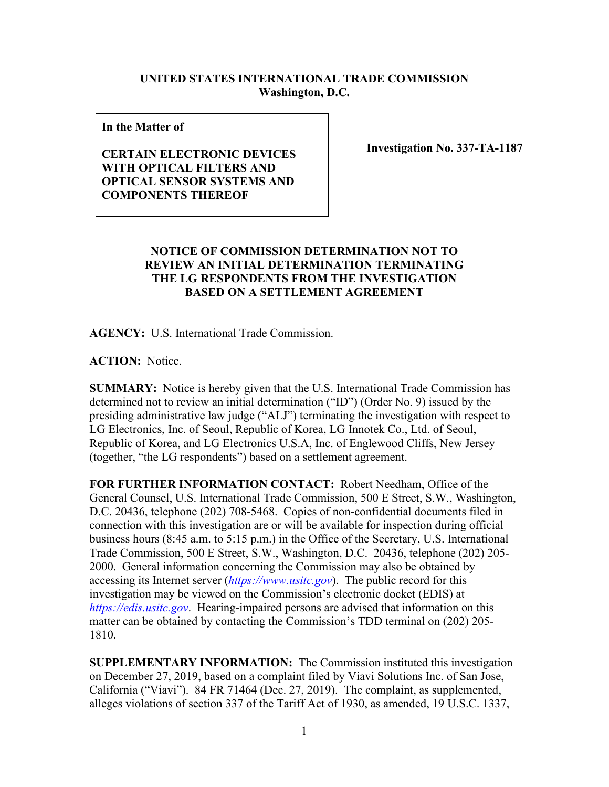## **UNITED STATES INTERNATIONAL TRADE COMMISSION Washington, D.C.**

**In the Matter of** 

## **CERTAIN ELECTRONIC DEVICES WITH OPTICAL FILTERS AND OPTICAL SENSOR SYSTEMS AND COMPONENTS THEREOF**

**Investigation No. 337-TA-1187**

## **NOTICE OF COMMISSION DETERMINATION NOT TO REVIEW AN INITIAL DETERMINATION TERMINATING THE LG RESPONDENTS FROM THE INVESTIGATION BASED ON A SETTLEMENT AGREEMENT**

**AGENCY:** U.S. International Trade Commission.

**ACTION:** Notice.

**SUMMARY:** Notice is hereby given that the U.S. International Trade Commission has determined not to review an initial determination ("ID") (Order No. 9) issued by the presiding administrative law judge ("ALJ") terminating the investigation with respect to LG Electronics, Inc. of Seoul, Republic of Korea, LG Innotek Co., Ltd. of Seoul, Republic of Korea, and LG Electronics U.S.A, Inc. of Englewood Cliffs, New Jersey (together, "the LG respondents") based on a settlement agreement.

**FOR FURTHER INFORMATION CONTACT:** Robert Needham, Office of the General Counsel, U.S. International Trade Commission, 500 E Street, S.W., Washington, D.C. 20436, telephone (202) 708-5468. Copies of non-confidential documents filed in connection with this investigation are or will be available for inspection during official business hours (8:45 a.m. to 5:15 p.m.) in the Office of the Secretary, U.S. International Trade Commission, 500 E Street, S.W., Washington, D.C. 20436, telephone (202) 205- 2000. General information concerning the Commission may also be obtained by accessing its Internet server (*[https://www.usitc.gov](https://www.usitc.gov/)*). The public record for this investigation may be viewed on the Commission's electronic docket (EDIS) at *[https://edis.usitc.gov](https://edis.usitc.gov/)*. Hearing-impaired persons are advised that information on this matter can be obtained by contacting the Commission's TDD terminal on (202) 205- 1810.

**SUPPLEMENTARY INFORMATION:** The Commission instituted this investigation on December 27, 2019, based on a complaint filed by Viavi Solutions Inc. of San Jose, California ("Viavi"). 84 FR 71464 (Dec. 27, 2019). The complaint, as supplemented, alleges violations of section 337 of the Tariff Act of 1930, as amended, 19 U.S.C. 1337,